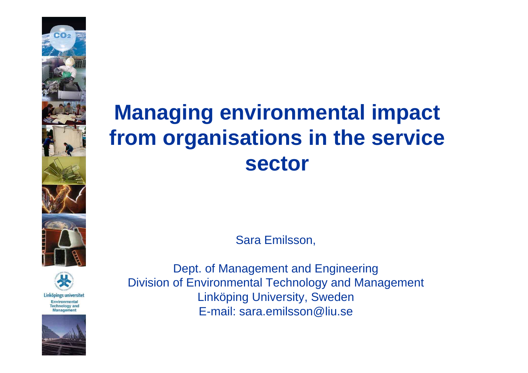# **Managing environmental impact from organisations in the service sector**

Sara Emilsson,

Dept. of Management and Engineering Division of Environmental Technology and Management Linköping University, Sweden E-mail: sara.emilsson@liu.se



Linköpings universitet Environmental **Technology and** Management

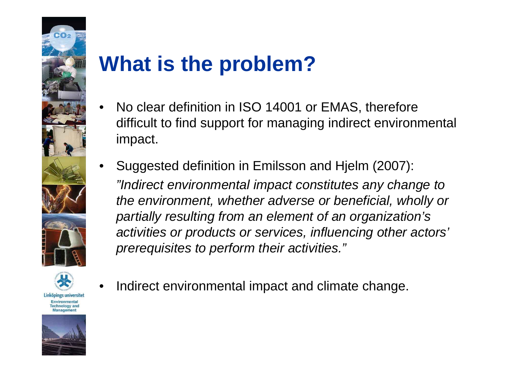

## **What is the problem?**

- No clear definition in ISO 14001 or EMAS, therefore difficult to find support for managing indirect environmental impact.
- Suggested definition in Emilsson and Hjelm (2007): *"Indirect environmental impact constitutes any change to the environment, whether adverse or beneficial, wholly or partially resulting from an element of an organization's activities or products or services, influencing other actors' prerequisites to perform their activities."*



Linköpings universitet Environmental **Technology and** Management



Indirect environmental impact and climate change.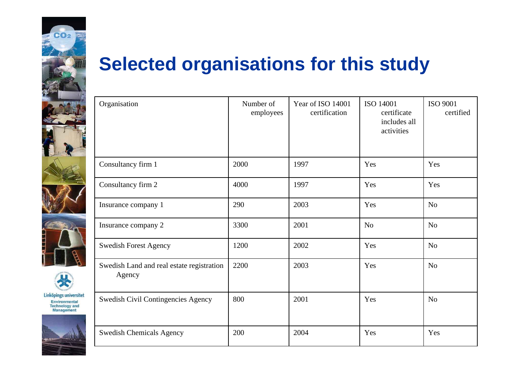





#### **Selected organisations for this study**

| Organisation                                        | Number of<br>employees | Year of ISO 14001<br>certification | ISO 14001<br>certificate<br>includes all<br>activities | <b>ISO 9001</b><br>certified |
|-----------------------------------------------------|------------------------|------------------------------------|--------------------------------------------------------|------------------------------|
| Consultancy firm 1                                  | 2000                   | 1997                               | Yes                                                    | Yes                          |
| Consultancy firm 2                                  | 4000                   | 1997                               | Yes                                                    | Yes                          |
| Insurance company 1                                 | 290                    | 2003                               | Yes                                                    | N <sub>o</sub>               |
| Insurance company 2                                 | 3300                   | 2001                               | N <sub>o</sub>                                         | N <sub>o</sub>               |
| <b>Swedish Forest Agency</b>                        | 1200                   | 2002                               | Yes                                                    | N <sub>o</sub>               |
| Swedish Land and real estate registration<br>Agency | 2200                   | 2003                               | Yes                                                    | N <sub>o</sub>               |
| Swedish Civil Contingencies Agency                  | 800                    | 2001                               | Yes                                                    | N <sub>o</sub>               |
| <b>Swedish Chemicals Agency</b>                     | 200                    | 2004                               | Yes                                                    | Yes                          |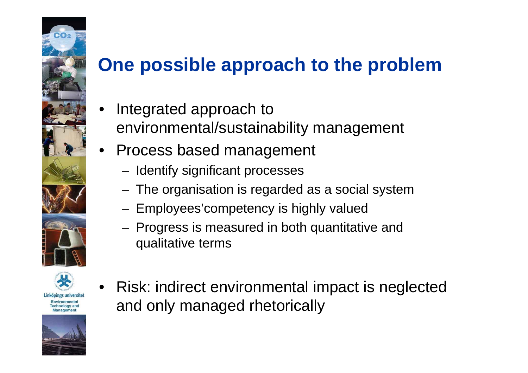#### **One possible approach to the problem**

- Integrated approach to environmental/sustainability management
- Process based management
	- Identify significant processes
	- The organisation is regarded as a social system
	- Employees'competency is highly valued
	- Progress is measured in both quantitative and qualitative terms



Linköpings universitet Environmental **Technology and** Management



• Risk: indirect environmental impact is neglected and only managed rhetorically